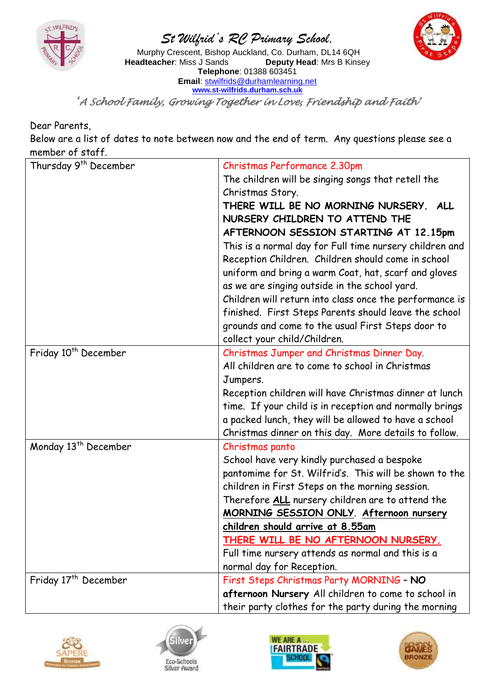

## *St Wilfrid's RC Primary School,*



Murphy Crescent, Bishop Auckland, Co. Durham, DL14 6QH<br>**adteacher**: Miss J Sands **Deputy Head**: Mrs B Kinsey **Headteacher: Miss J Sands Telephone**: 01388 603451 **Email**: [stwilfrids@durhamlearning.net](mailto:stwilfrids@durhamlearning.net) **[www.st-wilfrids.durham.sch.uk](http://www.st-wilfrids.durham.sch.uk/)**

*'A School Family, Growing Together in Love, Friendship and Faith'* 

Dear Parents,

Below are a list of dates to note between now and the end of term. Any questions please see a member of staff.

| Thursday 9 <sup>th</sup> December | Christmas Performance 2.30pm                            |
|-----------------------------------|---------------------------------------------------------|
|                                   | The children will be singing songs that retell the      |
|                                   | Christmas Story.                                        |
|                                   | THERE WILL BE NO MORNING NURSERY. ALL                   |
|                                   | NURSERY CHILDREN TO ATTEND THE                          |
|                                   | AFTERNOON SESSION STARTING AT 12.15pm                   |
|                                   | This is a normal day for Full time nursery children and |
|                                   | Reception Children. Children should come in school      |
|                                   | uniform and bring a warm Coat, hat, scarf and gloves    |
|                                   | as we are singing outside in the school yard.           |
|                                   | Children will return into class once the performance is |
|                                   | finished. First Steps Parents should leave the school   |
|                                   | grounds and come to the usual First Steps door to       |
|                                   | collect your child/Children.                            |
| Friday 10 <sup>th</sup> December  | Christmas Jumper and Christmas Dinner Day.              |
|                                   | All children are to come to school in Christmas         |
|                                   | Jumpers.                                                |
|                                   | Reception children will have Christmas dinner at lunch  |
|                                   | time. If your child is in reception and normally brings |
|                                   | a packed lunch, they will be allowed to have a school   |
|                                   | Christmas dinner on this day. More details to follow.   |
| Monday 13 <sup>th</sup> December  | Christmas panto                                         |
|                                   | School have very kindly purchased a bespoke             |
|                                   | pantomime for St. Wilfrid's. This will be shown to the  |
|                                   | children in First Steps on the morning session.         |
|                                   | Therefore ALL nursery children are to attend the        |
|                                   | MORNING SESSION ONLY. Afternoon nursery                 |
|                                   | children should arrive at 8.55am                        |
|                                   | THERE WILL BE NO AFTERNOON NURSERY.                     |
|                                   | Full time nursery attends as normal and this is a       |
|                                   | normal day for Reception.                               |
| Friday 17 <sup>th</sup> December  | First Steps Christmas Party MORNING - NO                |
|                                   | afternoon Nursery All children to come to school in     |
|                                   | their party clothes for the party during the morning    |